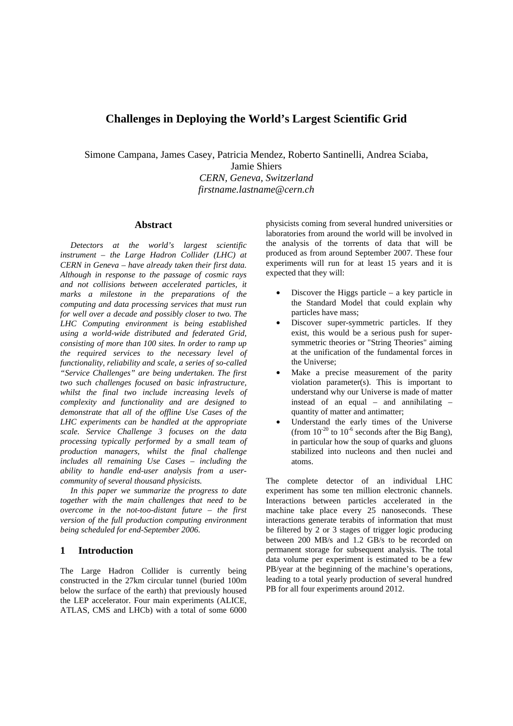# **Challenges in Deploying the World's Largest Scientific Grid**

Simone Campana, James Casey, Patricia Mendez, Roberto Santinelli, Andrea Sciaba,

Jamie Shiers *CERN, Geneva, Switzerland firstname.lastname@cern.ch* 

## **Abstract**

*Detectors at the world's largest scientific instrument – the Large Hadron Collider (LHC) at CERN in Geneva – have already taken their first data. Although in response to the passage of cosmic rays and not collisions between accelerated particles, it marks a milestone in the preparations of the computing and data processing services that must run for well over a decade and possibly closer to two. The LHC Computing environment is being established using a world-wide distributed and federated Grid, consisting of more than 100 sites. In order to ramp up the required services to the necessary level of functionality, reliability and scale, a series of so-called "Service Challenges" are being undertaken. The first two such challenges focused on basic infrastructure, whilst the final two include increasing levels of complexity and functionality and are designed to demonstrate that all of the offline Use Cases of the LHC experiments can be handled at the appropriate scale. Service Challenge 3 focuses on the data processing typically performed by a small team of production managers, whilst the final challenge includes all remaining Use Cases – including the ability to handle end-user analysis from a usercommunity of several thousand physicists.* 

*In this paper we summarize the progress to date together with the main challenges that need to be overcome in the not-too-distant future – the first version of the full production computing environment being scheduled for end-September 2006.* 

## **1 Introduction**

The Large Hadron Collider is currently being constructed in the 27km circular tunnel (buried 100m below the surface of the earth) that previously housed the LEP accelerator. Four main experiments (ALICE, ATLAS, CMS and LHCb) with a total of some 6000

physicists coming from several hundred universities or laboratories from around the world will be involved in the analysis of the torrents of data that will be produced as from around September 2007. These four experiments will run for at least 15 years and it is expected that they will:

- Discover the Higgs particle a key particle in the Standard Model that could explain why particles have mass;
- Discover super-symmetric particles. If they exist, this would be a serious push for supersymmetric theories or "String Theories" aiming at the unification of the fundamental forces in the Universe;
- Make a precise measurement of the parity violation parameter(s). This is important to understand why our Universe is made of matter instead of an equal – and annihilating – quantity of matter and antimatter;
- Understand the early times of the Universe (from  $10^{-20}$  to  $10^{-6}$  seconds after the Big Bang), in particular how the soup of quarks and gluons stabilized into nucleons and then nuclei and atoms.

The complete detector of an individual LHC experiment has some ten million electronic channels. Interactions between particles accelerated in the machine take place every 25 nanoseconds. These interactions generate terabits of information that must be filtered by 2 or 3 stages of trigger logic producing between 200 MB/s and 1.2 GB/s to be recorded on permanent storage for subsequent analysis. The total data volume per experiment is estimated to be a few PB/year at the beginning of the machine's operations, leading to a total yearly production of several hundred PB for all four experiments around 2012.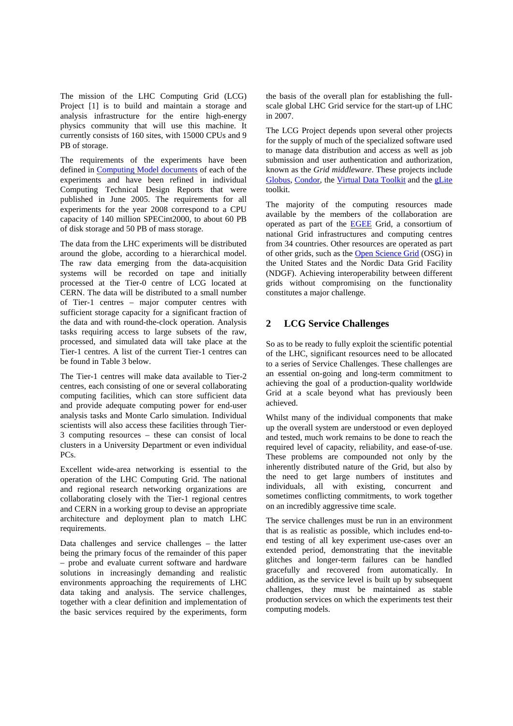The mission of the LHC Computing Grid (LCG) Project [1] is to build and maintain a storage and analysis infrastructure for the entire high-energy physics community that will use this machine. It currently consists of 160 sites, with 15000 CPUs and 9 PB of storage.

The requirements of the experiments have been defined in Computing Model documents of each of the experiments and have been refined in individual Computing Technical Design Reports that were published in June 2005. The requirements for all experiments for the year 2008 correspond to a CPU capacity of 140 million SPECint2000, to about 60 PB of disk storage and 50 PB of mass storage.

The data from the LHC experiments will be distributed around the globe, according to a hierarchical model. The raw data emerging from the data-acquisition systems will be recorded on tape and initially processed at the Tier-0 centre of LCG located at CERN. The data will be distributed to a small number of Tier-1 centres – major computer centres with sufficient storage capacity for a significant fraction of the data and with round-the-clock operation. Analysis tasks requiring access to large subsets of the raw, processed, and simulated data will take place at the Tier-1 centres. A list of the current Tier-1 centres can be found in Table 3 below.

The Tier-1 centres will make data available to Tier-2 centres, each consisting of one or several collaborating computing facilities, which can store sufficient data and provide adequate computing power for end-user analysis tasks and Monte Carlo simulation. Individual scientists will also access these facilities through Tier-3 computing resources – these can consist of local clusters in a University Department or even individual PCs.

Excellent wide-area networking is essential to the operation of the LHC Computing Grid. The national and regional research networking organizations are collaborating closely with the Tier-1 regional centres and CERN in a working group to devise an appropriate architecture and deployment plan to match LHC requirements.

Data challenges and service challenges – the latter being the primary focus of the remainder of this paper – probe and evaluate current software and hardware solutions in increasingly demanding and realistic environments approaching the requirements of LHC data taking and analysis. The service challenges, together with a clear definition and implementation of the basic services required by the experiments, form the basis of the overall plan for establishing the fullscale global LHC Grid service for the start-up of LHC in 2007.

The LCG Project depends upon several other projects for the supply of much of the specialized software used to manage data distribution and access as well as job submission and user authentication and authorization, known as the *Grid middleware*. These projects include Globus, Condor, the Virtual Data Toolkit and the gLite toolkit.

The majority of the computing resources made available by the members of the collaboration are operated as part of the EGEE Grid, a consortium of national Grid infrastructures and computing centres from 34 countries. Other resources are operated as part of other grids, such as the Open Science Grid (OSG) in the United States and the Nordic Data Grid Facility (NDGF). Achieving interoperability between different grids without compromising on the functionality constitutes a major challenge.

# **2 LCG Service Challenges**

So as to be ready to fully exploit the scientific potential of the LHC, significant resources need to be allocated to a series of Service Challenges. These challenges are an essential on-going and long-term commitment to achieving the goal of a production-quality worldwide Grid at a scale beyond what has previously been achieved.

Whilst many of the individual components that make up the overall system are understood or even deployed and tested, much work remains to be done to reach the required level of capacity, reliability, and ease-of-use. These problems are compounded not only by the inherently distributed nature of the Grid, but also by the need to get large numbers of institutes and individuals, all with existing, concurrent and sometimes conflicting commitments, to work together on an incredibly aggressive time scale.

The service challenges must be run in an environment that is as realistic as possible, which includes end-toend testing of all key experiment use-cases over an extended period, demonstrating that the inevitable glitches and longer-term failures can be handled gracefully and recovered from automatically. In addition, as the service level is built up by subsequent challenges, they must be maintained as stable production services on which the experiments test their computing models.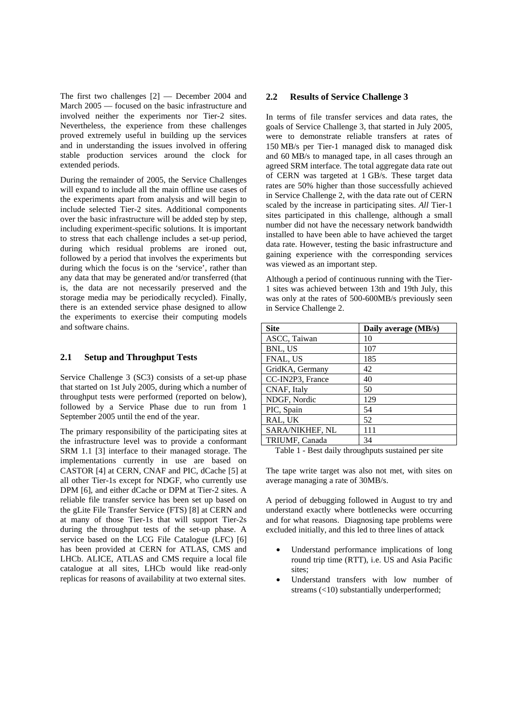The first two challenges [2] — December 2004 and March 2005 — focused on the basic infrastructure and involved neither the experiments nor Tier-2 sites. Nevertheless, the experience from these challenges proved extremely useful in building up the services and in understanding the issues involved in offering stable production services around the clock for extended periods.

During the remainder of 2005, the Service Challenges will expand to include all the main offline use cases of the experiments apart from analysis and will begin to include selected Tier-2 sites. Additional components over the basic infrastructure will be added step by step, including experiment-specific solutions. It is important to stress that each challenge includes a set-up period, during which residual problems are ironed out, followed by a period that involves the experiments but during which the focus is on the 'service', rather than any data that may be generated and/or transferred (that is, the data are not necessarily preserved and the storage media may be periodically recycled). Finally, there is an extended service phase designed to allow the experiments to exercise their computing models and software chains.

#### **2.1 Setup and Throughput Tests**

Service Challenge 3 (SC3) consists of a set-up phase that started on 1st July 2005, during which a number of throughput tests were performed (reported on below), followed by a Service Phase due to run from 1 September 2005 until the end of the year.

The primary responsibility of the participating sites at the infrastructure level was to provide a conformant SRM 1.1 [3] interface to their managed storage. The implementations currently in use are based on CASTOR [4] at CERN, CNAF and PIC, dCache [5] at all other Tier-1s except for NDGF, who currently use DPM [6], and either dCache or DPM at Tier-2 sites. A reliable file transfer service has been set up based on the gLite File Transfer Service (FTS) [8] at CERN and at many of those Tier-1s that will support Tier-2s during the throughput tests of the set-up phase. A service based on the LCG File Catalogue (LFC) [6] has been provided at CERN for ATLAS, CMS and LHCb. ALICE, ATLAS and CMS require a local file catalogue at all sites, LHCb would like read-only replicas for reasons of availability at two external sites.

#### **2.2 Results of Service Challenge 3**

In terms of file transfer services and data rates, the goals of Service Challenge 3, that started in July 2005, were to demonstrate reliable transfers at rates of 150 MB/s per Tier-1 managed disk to managed disk and 60 MB/s to managed tape, in all cases through an agreed SRM interface. The total aggregate data rate out of CERN was targeted at 1 GB/s. These target data rates are 50% higher than those successfully achieved in Service Challenge 2, with the data rate out of CERN scaled by the increase in participating sites. *All* Tier-1 sites participated in this challenge, although a small number did not have the necessary network bandwidth installed to have been able to have achieved the target data rate. However, testing the basic infrastructure and gaining experience with the corresponding services was viewed as an important step.

Although a period of continuous running with the Tier-1 sites was achieved between 13th and 19th July, this was only at the rates of 500-600MB/s previously seen in Service Challenge 2.

| <b>Site</b>      | Daily average (MB/s) |
|------------------|----------------------|
| ASCC, Taiwan     | 10                   |
| BNL, US          | 107                  |
| FNAL, US         | 185                  |
| GridKA, Germany  | 42                   |
| CC-IN2P3, France | 40                   |
| CNAF, Italy      | 50                   |
| NDGF, Nordic     | 129                  |
| PIC, Spain       | 54                   |
| RAL, UK          | 52                   |
| SARA/NIKHEF, NL  | 111                  |
| TRIUMF, Canada   | 34                   |

Table 1 - Best daily throughputs sustained per site

The tape write target was also not met, with sites on average managing a rate of 30MB/s.

A period of debugging followed in August to try and understand exactly where bottlenecks were occurring and for what reasons. Diagnosing tape problems were excluded initially, and this led to three lines of attack

- Understand performance implications of long round trip time (RTT), i.e. US and Asia Pacific sites;
- Understand transfers with low number of streams (<10) substantially underperformed;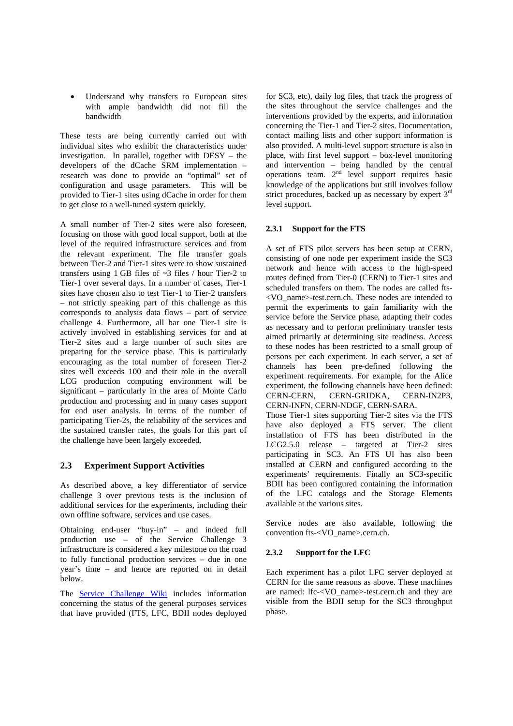Understand why transfers to European sites with ample bandwidth did not fill the bandwidth

These tests are being currently carried out with individual sites who exhibit the characteristics under investigation. In parallel, together with DESY – the developers of the dCache SRM implementation – research was done to provide an "optimal" set of configuration and usage parameters. This will be provided to Tier-1 sites using dCache in order for them to get close to a well-tuned system quickly.

A small number of Tier-2 sites were also foreseen, focusing on those with good local support, both at the level of the required infrastructure services and from the relevant experiment. The file transfer goals between Tier-2 and Tier-1 sites were to show sustained transfers using 1 GB files of ~3 files / hour Tier-2 to Tier-1 over several days. In a number of cases, Tier-1 sites have chosen also to test Tier-1 to Tier-2 transfers – not strictly speaking part of this challenge as this corresponds to analysis data flows – part of service challenge 4. Furthermore, all bar one Tier-1 site is actively involved in establishing services for and at Tier-2 sites and a large number of such sites are preparing for the service phase. This is particularly encouraging as the total number of foreseen Tier-2 sites well exceeds 100 and their role in the overall LCG production computing environment will be significant – particularly in the area of Monte Carlo production and processing and in many cases support for end user analysis. In terms of the number of participating Tier-2s, the reliability of the services and the sustained transfer rates, the goals for this part of the challenge have been largely exceeded.

# **2.3 Experiment Support Activities**

As described above, a key differentiator of service challenge 3 over previous tests is the inclusion of additional services for the experiments, including their own offline software, services and use cases.

Obtaining end-user "buy-in" – and indeed full production use – of the Service Challenge 3 infrastructure is considered a key milestone on the road to fully functional production services – due in one year's time – and hence are reported on in detail below.

The Service Challenge Wiki includes information concerning the status of the general purposes services that have provided (FTS, LFC, BDII nodes deployed for SC3, etc), daily log files, that track the progress of the sites throughout the service challenges and the interventions provided by the experts, and information concerning the Tier-1 and Tier-2 sites. Documentation, contact mailing lists and other support information is also provided. A multi-level support structure is also in place, with first level support – box-level monitoring and intervention – being handled by the central operations team. 2nd level support requires basic knowledge of the applications but still involves follow strict procedures, backed up as necessary by expert 3<sup>rd</sup> level support.

# **2.3.1 Support for the FTS**

A set of FTS pilot servers has been setup at CERN, consisting of one node per experiment inside the SC3 network and hence with access to the high-speed routes defined from Tier-0 (CERN) to Tier-1 sites and scheduled transfers on them. The nodes are called fts- <VO\_name>-test.cern.ch. These nodes are intended to permit the experiments to gain familiarity with the service before the Service phase, adapting their codes as necessary and to perform preliminary transfer tests aimed primarily at determining site readiness. Access to these nodes has been restricted to a small group of persons per each experiment. In each server, a set of channels has been pre-defined following the experiment requirements. For example, for the Alice experiment, the following channels have been defined: CERN-CERN, CERN-GRIDKA, CERN-IN2P3, CERN-INFN, CERN-NDGF, CERN-SARA. Those Tier-1 sites supporting Tier-2 sites via the FTS have also deployed a FTS server. The client installation of FTS has been distributed in the LCG2.5.0 release – targeted at Tier-2 sites participating in SC3. An FTS UI has also been installed at CERN and configured according to the experiments' requirements. Finally an SC3-specific BDII has been configured containing the information of the LFC catalogs and the Storage Elements available at the various sites.

Service nodes are also available, following the convention fts-<VO\_name>.cern.ch.

## **2.3.2 Support for the LFC**

Each experiment has a pilot LFC server deployed at CERN for the same reasons as above. These machines are named: lfc-<VO\_name>-test.cern.ch and they are visible from the BDII setup for the SC3 throughput phase.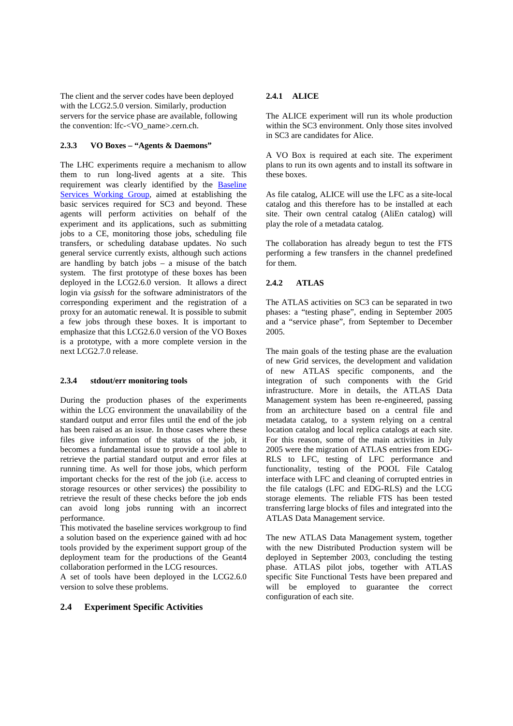The client and the server codes have been deployed with the LCG2.5.0 version. Similarly, production servers for the service phase are available, following the convention: lfc-<VO\_name>.cern.ch.

### **2.3.3 VO Boxes – "Agents & Daemons"**

The LHC experiments require a mechanism to allow them to run long-lived agents at a site. This requirement was clearly identified by the Baseline Services Working Group, aimed at establishing the basic services required for SC3 and beyond. These agents will perform activities on behalf of the experiment and its applications, such as submitting jobs to a CE, monitoring those jobs, scheduling file transfers, or scheduling database updates. No such general service currently exists, although such actions are handling by batch jobs  $-$  a misuse of the batch system. The first prototype of these boxes has been deployed in the LCG2.6.0 version. It allows a direct login via *gsissh* for the software administrators of the corresponding experiment and the registration of a proxy for an automatic renewal. It is possible to submit a few jobs through these boxes. It is important to emphasize that this LCG2.6.0 version of the VO Boxes is a prototype, with a more complete version in the next LCG2.7.0 release.

#### **2.3.4 stdout/err monitoring tools**

During the production phases of the experiments within the LCG environment the unavailability of the standard output and error files until the end of the job has been raised as an issue. In those cases where these files give information of the status of the job, it becomes a fundamental issue to provide a tool able to retrieve the partial standard output and error files at running time. As well for those jobs, which perform important checks for the rest of the job (i.e. access to storage resources or other services) the possibility to retrieve the result of these checks before the job ends can avoid long jobs running with an incorrect performance.

This motivated the baseline services workgroup to find a solution based on the experience gained with ad hoc tools provided by the experiment support group of the deployment team for the productions of the Geant4 collaboration performed in the LCG resources.

A set of tools have been deployed in the LCG2.6.0 version to solve these problems.

## **2.4 Experiment Specific Activities**

### **2.4.1 ALICE**

The ALICE experiment will run its whole production within the SC3 environment. Only those sites involved in SC3 are candidates for Alice.

A VO Box is required at each site. The experiment plans to run its own agents and to install its software in these boxes.

As file catalog, ALICE will use the LFC as a site-local catalog and this therefore has to be installed at each site. Their own central catalog (AliEn catalog) will play the role of a metadata catalog.

The collaboration has already begun to test the FTS performing a few transfers in the channel predefined for them.

#### **2.4.2 ATLAS**

The ATLAS activities on SC3 can be separated in two phases: a "testing phase", ending in September 2005 and a "service phase", from September to December 2005.

The main goals of the testing phase are the evaluation of new Grid services, the development and validation of new ATLAS specific components, and the integration of such components with the Grid infrastructure. More in details, the ATLAS Data Management system has been re-engineered, passing from an architecture based on a central file and metadata catalog, to a system relying on a central location catalog and local replica catalogs at each site. For this reason, some of the main activities in July 2005 were the migration of ATLAS entries from EDG-RLS to LFC, testing of LFC performance and functionality, testing of the POOL File Catalog interface with LFC and cleaning of corrupted entries in the file catalogs (LFC and EDG-RLS) and the LCG storage elements. The reliable FTS has been tested transferring large blocks of files and integrated into the ATLAS Data Management service.

The new ATLAS Data Management system, together with the new Distributed Production system will be deployed in September 2003, concluding the testing phase. ATLAS pilot jobs, together with ATLAS specific Site Functional Tests have been prepared and will be employed to guarantee the correct configuration of each site.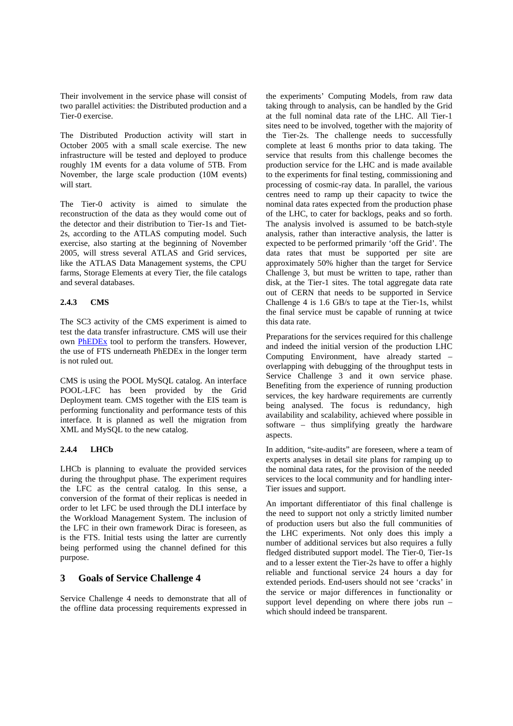Their involvement in the service phase will consist of two parallel activities: the Distributed production and a Tier-0 exercise.

The Distributed Production activity will start in October 2005 with a small scale exercise. The new infrastructure will be tested and deployed to produce roughly 1M events for a data volume of 5TB. From November, the large scale production (10M events) will start.

The Tier-0 activity is aimed to simulate the reconstruction of the data as they would come out of the detector and their distribution to Tier-1s and Tiet-2s, according to the ATLAS computing model. Such exercise, also starting at the beginning of November 2005, will stress several ATLAS and Grid services, like the ATLAS Data Management systems, the CPU farms, Storage Elements at every Tier, the file catalogs and several databases.

## **2.4.3 CMS**

The SC3 activity of the CMS experiment is aimed to test the data transfer infrastructure. CMS will use their own PhEDEx tool to perform the transfers. However, the use of FTS underneath PhEDEx in the longer term is not ruled out.

CMS is using the POOL MySQL catalog. An interface POOL-LFC has been provided by the Grid Deployment team. CMS together with the EIS team is performing functionality and performance tests of this interface. It is planned as well the migration from XML and MySQL to the new catalog.

## **2.4.4 LHCb**

LHCb is planning to evaluate the provided services during the throughput phase. The experiment requires the LFC as the central catalog. In this sense, a conversion of the format of their replicas is needed in order to let LFC be used through the DLI interface by the Workload Management System. The inclusion of the LFC in their own framework Dirac is foreseen, as is the FTS. Initial tests using the latter are currently being performed using the channel defined for this purpose.

# **3 Goals of Service Challenge 4**

Service Challenge 4 needs to demonstrate that all of the offline data processing requirements expressed in the experiments' Computing Models, from raw data taking through to analysis, can be handled by the Grid at the full nominal data rate of the LHC. All Tier-1 sites need to be involved, together with the majority of the Tier-2s. The challenge needs to successfully complete at least 6 months prior to data taking. The service that results from this challenge becomes the production service for the LHC and is made available to the experiments for final testing, commissioning and processing of cosmic-ray data. In parallel, the various centres need to ramp up their capacity to twice the nominal data rates expected from the production phase of the LHC, to cater for backlogs, peaks and so forth. The analysis involved is assumed to be batch-style analysis, rather than interactive analysis, the latter is expected to be performed primarily 'off the Grid'. The data rates that must be supported per site are approximately 50% higher than the target for Service Challenge 3, but must be written to tape, rather than disk, at the Tier-1 sites. The total aggregate data rate out of CERN that needs to be supported in Service Challenge 4 is 1.6 GB/s to tape at the Tier-1s, whilst the final service must be capable of running at twice this data rate.

Preparations for the services required for this challenge and indeed the initial version of the production LHC Computing Environment, have already started – overlapping with debugging of the throughput tests in Service Challenge 3 and it own service phase. Benefiting from the experience of running production services, the key hardware requirements are currently being analysed. The focus is redundancy, high availability and scalability, achieved where possible in software – thus simplifying greatly the hardware aspects.

In addition, "site-audits" are foreseen, where a team of experts analyses in detail site plans for ramping up to the nominal data rates, for the provision of the needed services to the local community and for handling inter-Tier issues and support.

An important differentiator of this final challenge is the need to support not only a strictly limited number of production users but also the full communities of the LHC experiments. Not only does this imply a number of additional services but also requires a fully fledged distributed support model. The Tier-0, Tier-1s and to a lesser extent the Tier-2s have to offer a highly reliable and functional service 24 hours a day for extended periods. End-users should not see 'cracks' in the service or major differences in functionality or support level depending on where there jobs run – which should indeed be transparent.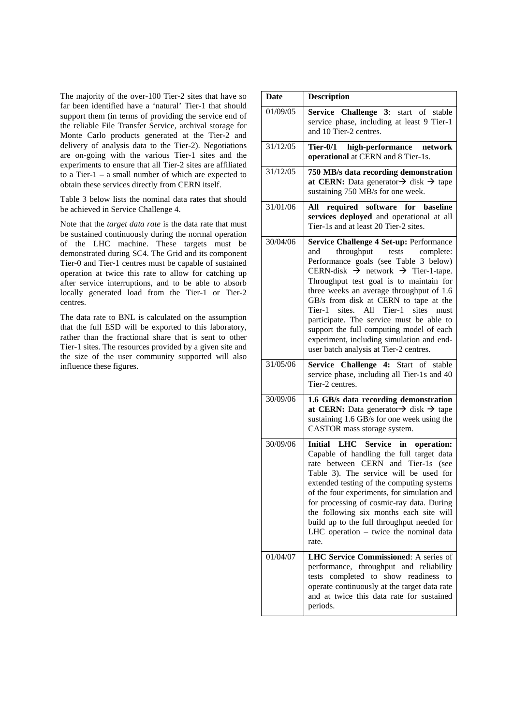The majority of the over-100 Tier-2 sites that have so far been identified have a 'natural' Tier-1 that should support them (in terms of providing the service end of the reliable File Transfer Service, archival storage for Monte Carlo products generated at the Tier-2 and delivery of analysis data to the Tier-2). Negotiations are on-going with the various Tier-1 sites and the experiments to ensure that all Tier-2 sites are affiliated to a Tier-1 – a small number of which are expected to obtain these services directly from CERN itself.

Table 3 below lists the nominal data rates that should be achieved in Service Challenge 4.

Note that the *target data rate* is the data rate that must be sustained continuously during the normal operation of the LHC machine. These targets must be demonstrated during SC4. The Grid and its component Tier-0 and Tier-1 centres must be capable of sustained operation at twice this rate to allow for catching up after service interruptions, and to be able to absorb locally generated load from the Tier-1 or Tier-2 centres.

The data rate to BNL is calculated on the assumption that the full ESD will be exported to this laboratory, rather than the fractional share that is sent to other Tier-1 sites. The resources provided by a given site and the size of the user community supported will also influence these figures.

| <b>Date</b> | <b>Description</b>                                                                                                                                                                                                                                                                                                                                                                                                                                                                                                                                 |
|-------------|----------------------------------------------------------------------------------------------------------------------------------------------------------------------------------------------------------------------------------------------------------------------------------------------------------------------------------------------------------------------------------------------------------------------------------------------------------------------------------------------------------------------------------------------------|
| 01/09/05    | Service Challenge 3:<br>start of stable<br>service phase, including at least 9 Tier-1<br>and 10 Tier-2 centres.                                                                                                                                                                                                                                                                                                                                                                                                                                    |
| 31/12/05    | high-performance<br>Tier-0/1<br>network<br>operational at CERN and 8 Tier-1s.                                                                                                                                                                                                                                                                                                                                                                                                                                                                      |
| 31/12/05    | 750 MB/s data recording demonstration<br>at CERN: Data generator $\rightarrow$ disk $\rightarrow$ tape<br>sustaining 750 MB/s for one week.                                                                                                                                                                                                                                                                                                                                                                                                        |
| 31/01/06    | for baseline<br>required software<br>All<br>services deployed and operational at all<br>Tier-1s and at least 20 Tier-2 sites.                                                                                                                                                                                                                                                                                                                                                                                                                      |
| 30/04/06    | Service Challenge 4 Set-up: Performance<br>throughput tests complete:<br>and<br>Performance goals (see Table 3 below)<br>CERN-disk $\rightarrow$ network $\rightarrow$ Tier-1-tape.<br>Throughput test goal is to maintain for<br>three weeks an average throughput of 1.6<br>GB/s from disk at CERN to tape at the<br>sites. All Tier-1<br>Tier-1<br>sites<br>must<br>participate. The service must be able to<br>support the full computing model of each<br>experiment, including simulation and end-<br>user batch analysis at Tier-2 centres. |
| 31/05/06    | Service Challenge 4: Start of stable<br>service phase, including all Tier-1s and 40<br>Tier-2 centres.                                                                                                                                                                                                                                                                                                                                                                                                                                             |
| 30/09/06    | 1.6 GB/s data recording demonstration<br>at CERN: Data generator $\rightarrow$ disk $\rightarrow$ tape<br>sustaining 1.6 GB/s for one week using the<br>CASTOR mass storage system.                                                                                                                                                                                                                                                                                                                                                                |
| 30/09/06    | Initial LHC Service<br>in<br>operation:<br>Capable of handling the full target data<br>rate between CERN and Tier-1s (see<br>Table 3). The service will be used for<br>extended testing of the computing systems<br>of the four experiments, for simulation and<br>for processing of cosmic-ray data. During<br>the following six months each site will<br>build up to the full throughput needed for<br>LHC operation - twice the nominal data<br>rate.                                                                                           |
| 01/04/07    | LHC Service Commissioned: A series of<br>performance, throughput and reliability<br>tests completed to show readiness to<br>operate continuously at the target data rate<br>and at twice this data rate for sustained<br>periods.                                                                                                                                                                                                                                                                                                                  |